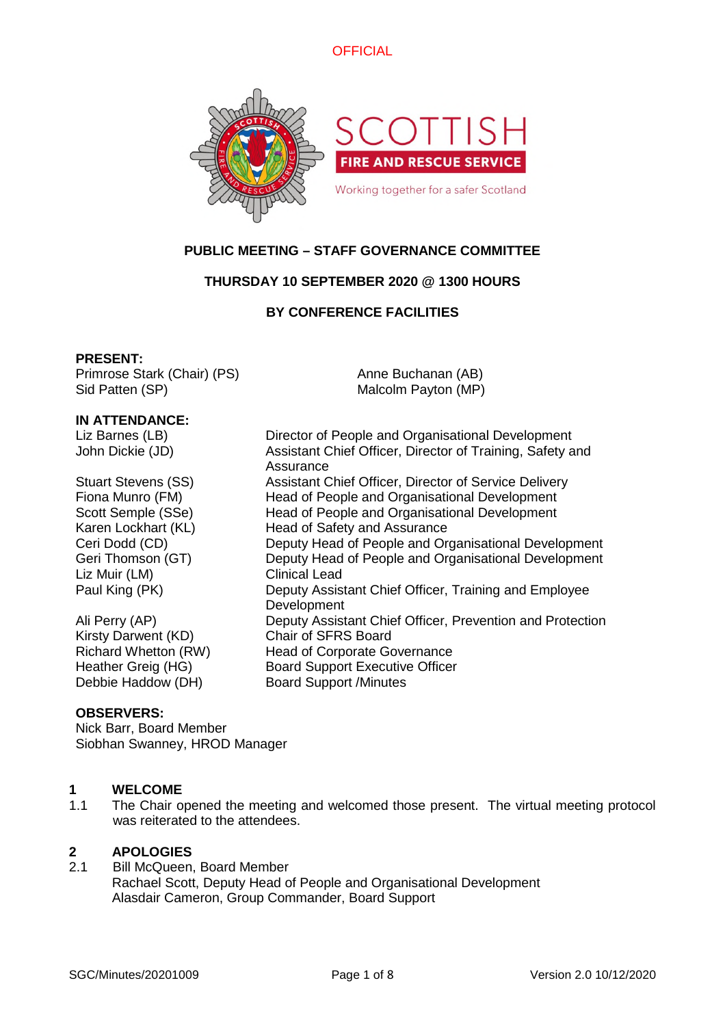



# **PUBLIC MEETING – STAFF GOVERNANCE COMMITTEE**

# **THURSDAY 10 SEPTEMBER 2020 @ 1300 HOURS**

## **BY CONFERENCE FACILITIES**

Anne Buchanan (AB) Malcolm Payton (MP)

#### **PRESENT:**

Primrose Stark (Chair) (PS) Sid Patten (SP)

**IN ATTENDANCE:**

Liz Barnes (LB) Director of People and Organisational Development John Dickie (JD) Assistant Chief Officer, Director of Training, Safety and

Stuart Stevens (SS) Assistant Chief Officer, Director of Service Delivery Fiona Munro (FM) Head of People and Organisational Development Scott Semple (SSe) Head of People and Organisational Development Karen Lockhart (KL) Head of Safety and Assurance Ceri Dodd (CD) Deputy Head of People and Organisational Development Geri Thomson (GT) Deputy Head of People and Organisational Development Liz Muir (LM) Clinical Lead Paul King (PK) Deputy Assistant Chief Officer, Training and Employee

Ali Perry (AP) Deputy Assistant Chief Officer, Prevention and Protection Kirsty Darwent (KD) Chair of SFRS Board Richard Whetton (RW) Head of Corporate Governance Heather Greig (HG) Board Support Executive Officer Debbie Haddow (DH) Board Support /Minutes

## **OBSERVERS:**

Nick Barr, Board Member Siobhan Swanney, HROD Manager

# **1 WELCOME**

1.1 The Chair opened the meeting and welcomed those present. The virtual meeting protocol was reiterated to the attendees.

# **2 APOLOGIES**

2.1 Bill McQueen, Board Member Rachael Scott, Deputy Head of People and Organisational Development Alasdair Cameron, Group Commander, Board Support

Assurance

**Development**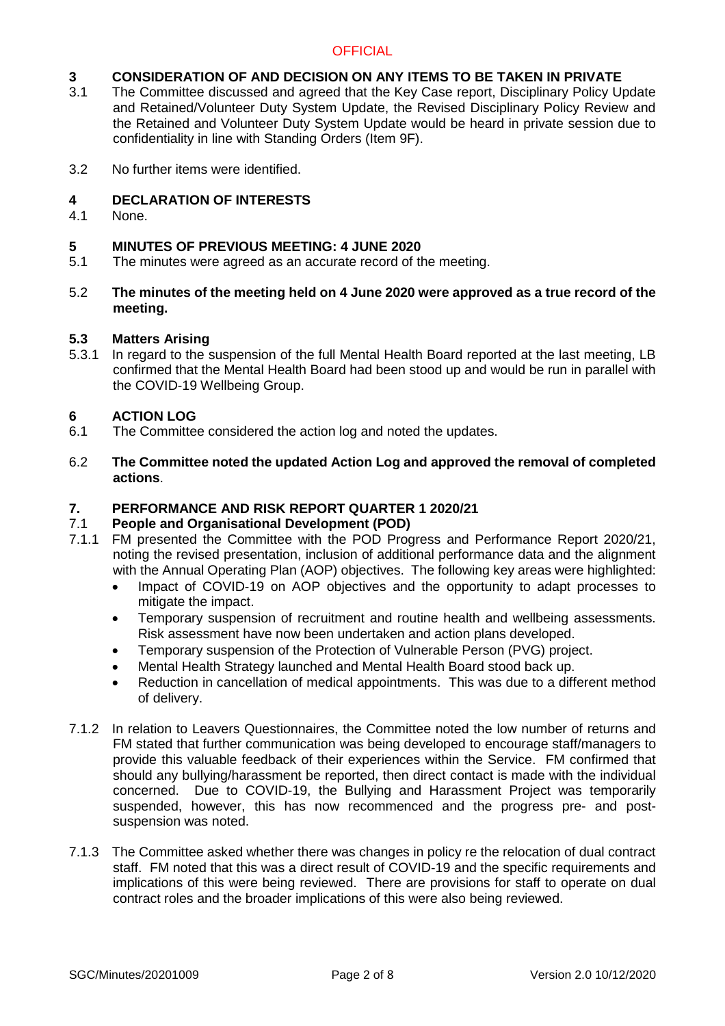# **3 CONSIDERATION OF AND DECISION ON ANY ITEMS TO BE TAKEN IN PRIVATE**<br>3.1 The Committee discussed and agreed that the Key Case report. Disciplinary Policy Un

- The Committee discussed and agreed that the Key Case report, Disciplinary Policy Update and Retained/Volunteer Duty System Update, the Revised Disciplinary Policy Review and the Retained and Volunteer Duty System Update would be heard in private session due to confidentiality in line with Standing Orders (Item 9F).
- 3.2 No further items were identified.

## **4 DECLARATION OF INTERESTS**

4.1 None.

## **5 MINUTES OF PREVIOUS MEETING: 4 JUNE 2020**

- 5.1 The minutes were agreed as an accurate record of the meeting.
- 5.2 **The minutes of the meeting held on 4 June 2020 were approved as a true record of the meeting.**

## **5.3 Matters Arising**

5.3.1 In regard to the suspension of the full Mental Health Board reported at the last meeting, LB confirmed that the Mental Health Board had been stood up and would be run in parallel with the COVID-19 Wellbeing Group.

## **6 ACTION LOG**

- 6.1 The Committee considered the action log and noted the updates.
- 6.2 **The Committee noted the updated Action Log and approved the removal of completed actions**.

## **7. PERFORMANCE AND RISK REPORT QUARTER 1 2020/21**

## 7.1 **People and Organisational Development (POD)**

- 7.1.1 FM presented the Committee with the POD Progress and Performance Report 2020/21, noting the revised presentation, inclusion of additional performance data and the alignment with the Annual Operating Plan (AOP) objectives. The following key areas were highlighted:
	- Impact of COVID-19 on AOP objectives and the opportunity to adapt processes to mitigate the impact.
	- Temporary suspension of recruitment and routine health and wellbeing assessments. Risk assessment have now been undertaken and action plans developed.
	- Temporary suspension of the Protection of Vulnerable Person (PVG) project.
	- Mental Health Strategy launched and Mental Health Board stood back up.
	- Reduction in cancellation of medical appointments. This was due to a different method of delivery.
- 7.1.2 In relation to Leavers Questionnaires, the Committee noted the low number of returns and FM stated that further communication was being developed to encourage staff/managers to provide this valuable feedback of their experiences within the Service. FM confirmed that should any bullying/harassment be reported, then direct contact is made with the individual concerned. Due to COVID-19, the Bullying and Harassment Project was temporarily suspended, however, this has now recommenced and the progress pre- and postsuspension was noted.
- 7.1.3 The Committee asked whether there was changes in policy re the relocation of dual contract staff. FM noted that this was a direct result of COVID-19 and the specific requirements and implications of this were being reviewed. There are provisions for staff to operate on dual contract roles and the broader implications of this were also being reviewed.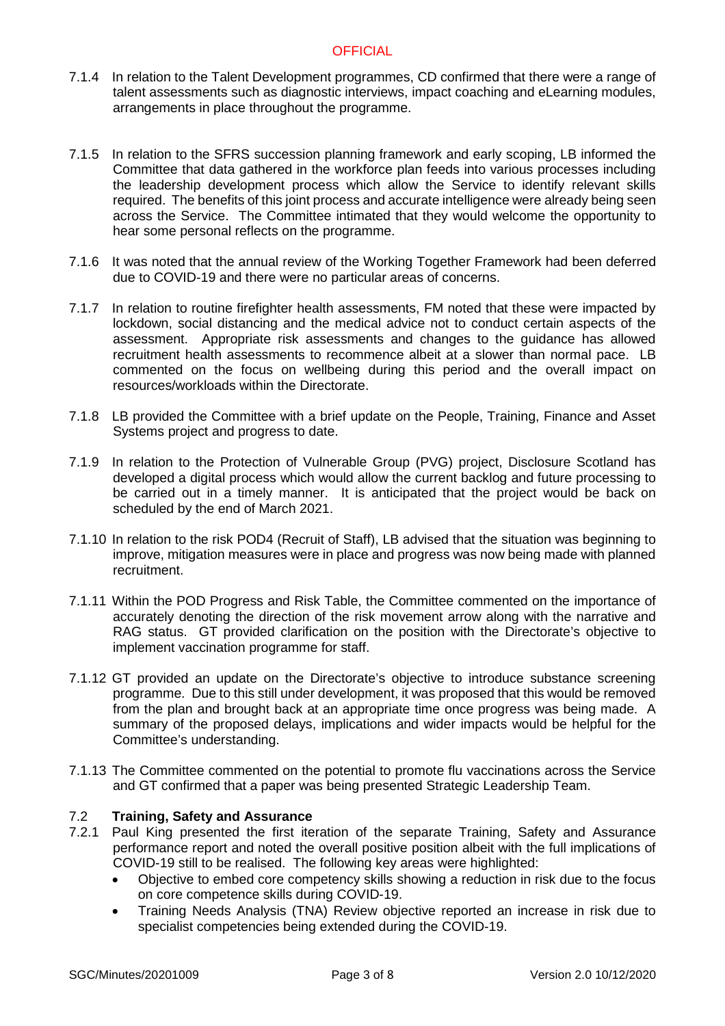- 7.1.4 In relation to the Talent Development programmes, CD confirmed that there were a range of talent assessments such as diagnostic interviews, impact coaching and eLearning modules, arrangements in place throughout the programme.
- 7.1.5 In relation to the SFRS succession planning framework and early scoping, LB informed the Committee that data gathered in the workforce plan feeds into various processes including the leadership development process which allow the Service to identify relevant skills required. The benefits of this joint process and accurate intelligence were already being seen across the Service. The Committee intimated that they would welcome the opportunity to hear some personal reflects on the programme.
- 7.1.6 It was noted that the annual review of the Working Together Framework had been deferred due to COVID-19 and there were no particular areas of concerns.
- 7.1.7 In relation to routine firefighter health assessments, FM noted that these were impacted by lockdown, social distancing and the medical advice not to conduct certain aspects of the assessment. Appropriate risk assessments and changes to the guidance has allowed recruitment health assessments to recommence albeit at a slower than normal pace. LB commented on the focus on wellbeing during this period and the overall impact on resources/workloads within the Directorate.
- 7.1.8 LB provided the Committee with a brief update on the People, Training, Finance and Asset Systems project and progress to date.
- 7.1.9 In relation to the Protection of Vulnerable Group (PVG) project, Disclosure Scotland has developed a digital process which would allow the current backlog and future processing to be carried out in a timely manner. It is anticipated that the project would be back on scheduled by the end of March 2021.
- 7.1.10 In relation to the risk POD4 (Recruit of Staff), LB advised that the situation was beginning to improve, mitigation measures were in place and progress was now being made with planned recruitment.
- 7.1.11 Within the POD Progress and Risk Table, the Committee commented on the importance of accurately denoting the direction of the risk movement arrow along with the narrative and RAG status. GT provided clarification on the position with the Directorate's objective to implement vaccination programme for staff.
- 7.1.12 GT provided an update on the Directorate's objective to introduce substance screening programme. Due to this still under development, it was proposed that this would be removed from the plan and brought back at an appropriate time once progress was being made. A summary of the proposed delays, implications and wider impacts would be helpful for the Committee's understanding.
- 7.1.13 The Committee commented on the potential to promote flu vaccinations across the Service and GT confirmed that a paper was being presented Strategic Leadership Team.

## 7.2 **Training, Safety and Assurance**

- 7.2.1 Paul King presented the first iteration of the separate Training, Safety and Assurance performance report and noted the overall positive position albeit with the full implications of COVID-19 still to be realised. The following key areas were highlighted:
	- Objective to embed core competency skills showing a reduction in risk due to the focus on core competence skills during COVID-19.
	- Training Needs Analysis (TNA) Review objective reported an increase in risk due to specialist competencies being extended during the COVID-19.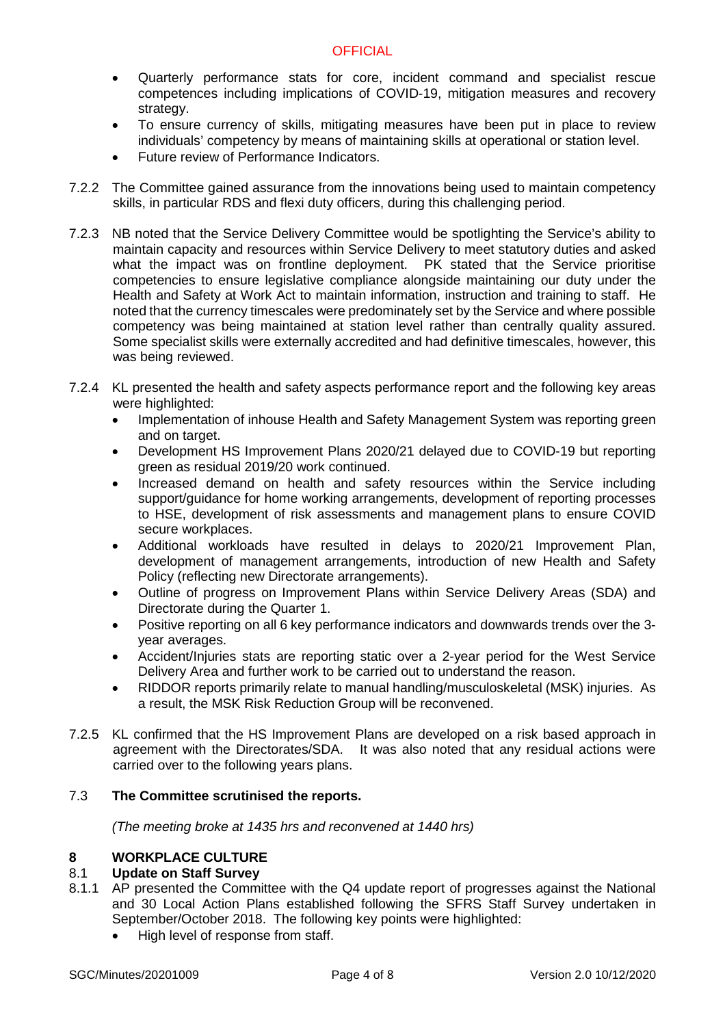- Quarterly performance stats for core, incident command and specialist rescue competences including implications of COVID-19, mitigation measures and recovery strategy.
- To ensure currency of skills, mitigating measures have been put in place to review individuals' competency by means of maintaining skills at operational or station level.
- Future review of Performance Indicators.
- 7.2.2 The Committee gained assurance from the innovations being used to maintain competency skills, in particular RDS and flexi duty officers, during this challenging period.
- 7.2.3 NB noted that the Service Delivery Committee would be spotlighting the Service's ability to maintain capacity and resources within Service Delivery to meet statutory duties and asked what the impact was on frontline deployment. PK stated that the Service prioritise competencies to ensure legislative compliance alongside maintaining our duty under the Health and Safety at Work Act to maintain information, instruction and training to staff. He noted that the currency timescales were predominately set by the Service and where possible competency was being maintained at station level rather than centrally quality assured. Some specialist skills were externally accredited and had definitive timescales, however, this was being reviewed.
- 7.2.4 KL presented the health and safety aspects performance report and the following key areas were highlighted:
	- Implementation of inhouse Health and Safety Management System was reporting green and on target.
	- Development HS Improvement Plans 2020/21 delayed due to COVID-19 but reporting green as residual 2019/20 work continued.
	- Increased demand on health and safety resources within the Service including support/guidance for home working arrangements, development of reporting processes to HSE, development of risk assessments and management plans to ensure COVID secure workplaces.
	- Additional workloads have resulted in delays to 2020/21 Improvement Plan, development of management arrangements, introduction of new Health and Safety Policy (reflecting new Directorate arrangements).
	- Outline of progress on Improvement Plans within Service Delivery Areas (SDA) and Directorate during the Quarter 1.
	- Positive reporting on all 6 key performance indicators and downwards trends over the 3 year averages.
	- Accident/Injuries stats are reporting static over a 2-year period for the West Service Delivery Area and further work to be carried out to understand the reason.
	- RIDDOR reports primarily relate to manual handling/musculoskeletal (MSK) injuries. As a result, the MSK Risk Reduction Group will be reconvened.
- 7.2.5 KL confirmed that the HS Improvement Plans are developed on a risk based approach in agreement with the Directorates/SDA. It was also noted that any residual actions were carried over to the following years plans.

# 7.3 **The Committee scrutinised the reports.**

*(The meeting broke at 1435 hrs and reconvened at 1440 hrs)*

# **8 WORKPLACE CULTURE**

# 8.1 **Update on Staff Survey**

- 8.1.1 AP presented the Committee with the Q4 update report of progresses against the National and 30 Local Action Plans established following the SFRS Staff Survey undertaken in September/October 2018. The following key points were highlighted:
	- High level of response from staff.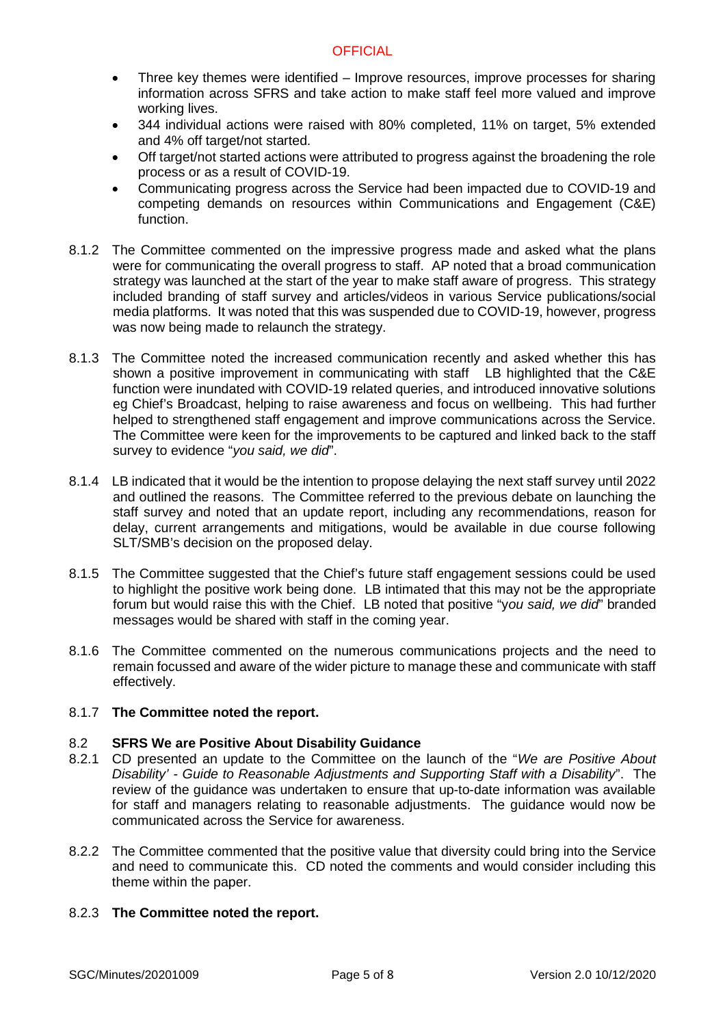- Three key themes were identified Improve resources, improve processes for sharing information across SFRS and take action to make staff feel more valued and improve working lives.
- 344 individual actions were raised with 80% completed, 11% on target, 5% extended and 4% off target/not started.
- Off target/not started actions were attributed to progress against the broadening the role process or as a result of COVID-19.
- Communicating progress across the Service had been impacted due to COVID-19 and competing demands on resources within Communications and Engagement (C&E) function.
- 8.1.2 The Committee commented on the impressive progress made and asked what the plans were for communicating the overall progress to staff. AP noted that a broad communication strategy was launched at the start of the year to make staff aware of progress. This strategy included branding of staff survey and articles/videos in various Service publications/social media platforms. It was noted that this was suspended due to COVID-19, however, progress was now being made to relaunch the strategy.
- 8.1.3 The Committee noted the increased communication recently and asked whether this has shown a positive improvement in communicating with staff LB highlighted that the C&E function were inundated with COVID-19 related queries, and introduced innovative solutions eg Chief's Broadcast, helping to raise awareness and focus on wellbeing. This had further helped to strengthened staff engagement and improve communications across the Service. The Committee were keen for the improvements to be captured and linked back to the staff survey to evidence "*you said, we did*".
- 8.1.4 LB indicated that it would be the intention to propose delaying the next staff survey until 2022 and outlined the reasons. The Committee referred to the previous debate on launching the staff survey and noted that an update report, including any recommendations, reason for delay, current arrangements and mitigations, would be available in due course following SLT/SMB's decision on the proposed delay.
- 8.1.5 The Committee suggested that the Chief's future staff engagement sessions could be used to highlight the positive work being done. LB intimated that this may not be the appropriate forum but would raise this with the Chief. LB noted that positive "y*ou said, we did*" branded messages would be shared with staff in the coming year.
- 8.1.6 The Committee commented on the numerous communications projects and the need to remain focussed and aware of the wider picture to manage these and communicate with staff effectively.

## 8.1.7 **The Committee noted the report.**

## 8.2 **SFRS We are Positive About Disability Guidance**

- 8.2.1 CD presented an update to the Committee on the launch of the "*We are Positive About Disability' - Guide to Reasonable Adjustments and Supporting Staff with a Disability*". The review of the guidance was undertaken to ensure that up-to-date information was available for staff and managers relating to reasonable adjustments. The guidance would now be communicated across the Service for awareness.
- 8.2.2 The Committee commented that the positive value that diversity could bring into the Service and need to communicate this. CD noted the comments and would consider including this theme within the paper.

# 8.2.3 **The Committee noted the report.**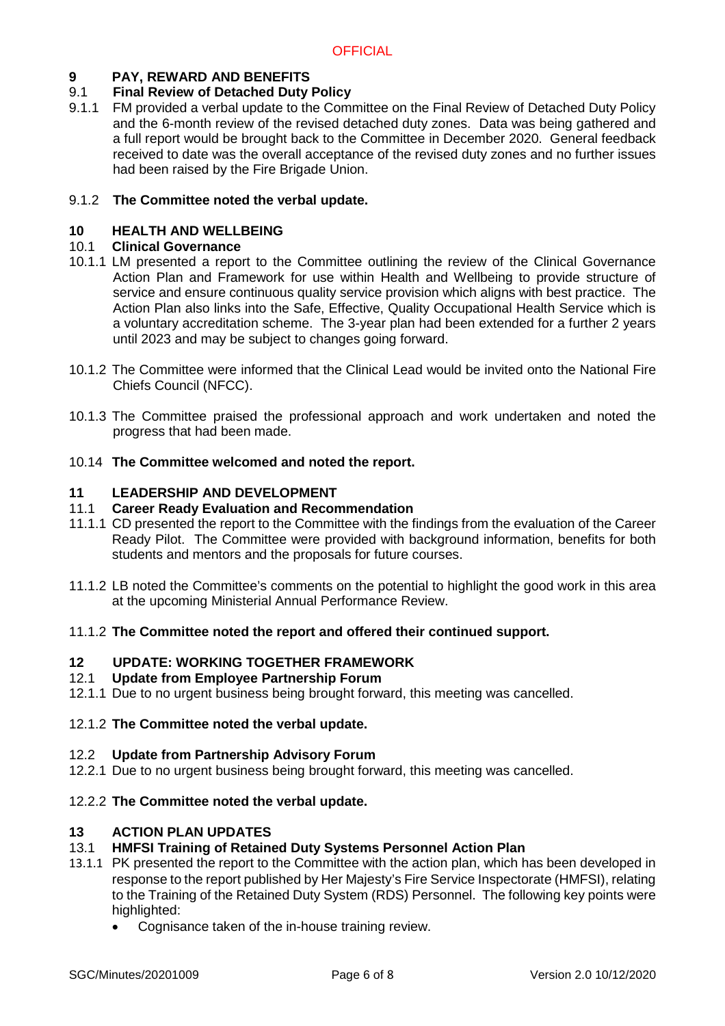# **9 PAY, REWARD AND BENEFITS**

# 9.1 **Final Review of Detached Duty Policy**

9.1.1 FM provided a verbal update to the Committee on the Final Review of Detached Duty Policy and the 6-month review of the revised detached duty zones. Data was being gathered and a full report would be brought back to the Committee in December 2020. General feedback received to date was the overall acceptance of the revised duty zones and no further issues had been raised by the Fire Brigade Union.

# 9.1.2 **The Committee noted the verbal update.**

## **10 HEALTH AND WELLBEING**

## 10.1 **Clinical Governance**

- 10.1.1 LM presented a report to the Committee outlining the review of the Clinical Governance Action Plan and Framework for use within Health and Wellbeing to provide structure of service and ensure continuous quality service provision which aligns with best practice. The Action Plan also links into the Safe, Effective, Quality Occupational Health Service which is a voluntary accreditation scheme. The 3-year plan had been extended for a further 2 years until 2023 and may be subject to changes going forward.
- 10.1.2 The Committee were informed that the Clinical Lead would be invited onto the National Fire Chiefs Council (NFCC).
- 10.1.3 The Committee praised the professional approach and work undertaken and noted the progress that had been made.

## 10.14 **The Committee welcomed and noted the report.**

## **11 LEADERSHIP AND DEVELOPMENT**

## 11.1 **Career Ready Evaluation and Recommendation**

- 11.1.1 CD presented the report to the Committee with the findings from the evaluation of the Career Ready Pilot. The Committee were provided with background information, benefits for both students and mentors and the proposals for future courses.
- 11.1.2 LB noted the Committee's comments on the potential to highlight the good work in this area at the upcoming Ministerial Annual Performance Review.

## 11.1.2 **The Committee noted the report and offered their continued support.**

# **12 UPDATE: WORKING TOGETHER FRAMEWORK**

## 12.1 **Update from Employee Partnership Forum**

12.1.1 Due to no urgent business being brought forward, this meeting was cancelled.

## 12.1.2 **The Committee noted the verbal update.**

## 12.2 **Update from Partnership Advisory Forum**

12.2.1 Due to no urgent business being brought forward, this meeting was cancelled.

## 12.2.2 **The Committee noted the verbal update.**

## **13 ACTION PLAN UPDATES**

# 13.1 **HMFSI Training of Retained Duty Systems Personnel Action Plan**

- 13.1.1 PK presented the report to the Committee with the action plan, which has been developed in response to the report published by Her Majesty's Fire Service Inspectorate (HMFSI), relating to the Training of the Retained Duty System (RDS) Personnel. The following key points were highlighted:
	- Cognisance taken of the in-house training review.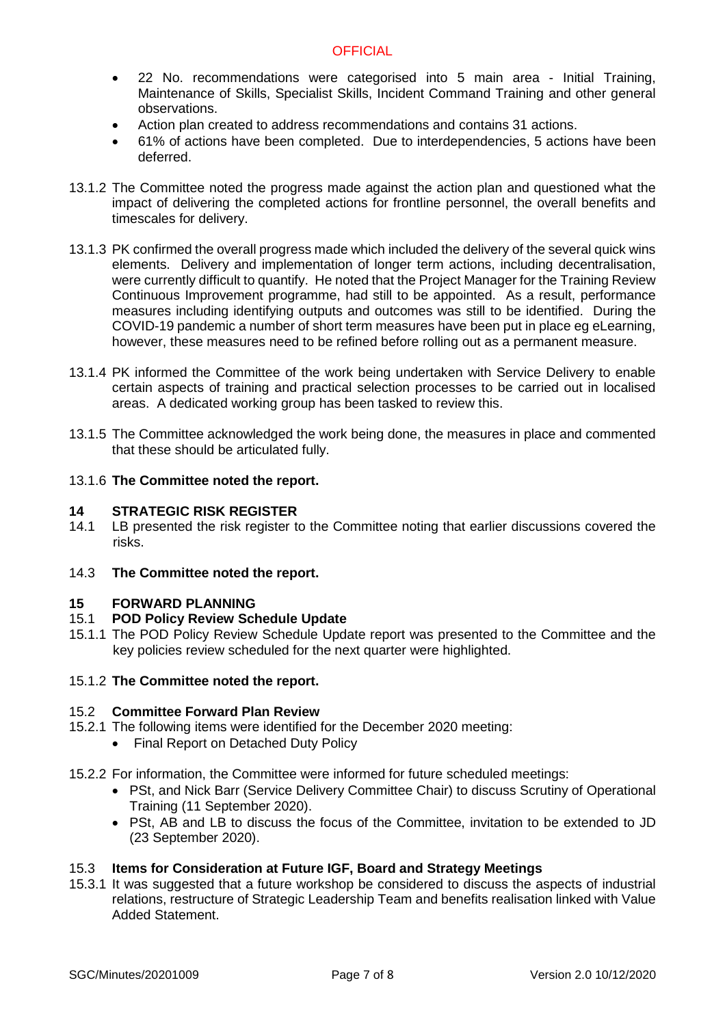- 22 No. recommendations were categorised into 5 main area Initial Training, Maintenance of Skills, Specialist Skills, Incident Command Training and other general observations.
- Action plan created to address recommendations and contains 31 actions.
- 61% of actions have been completed. Due to interdependencies, 5 actions have been deferred.
- 13.1.2 The Committee noted the progress made against the action plan and questioned what the impact of delivering the completed actions for frontline personnel, the overall benefits and timescales for delivery.
- 13.1.3 PK confirmed the overall progress made which included the delivery of the several quick wins elements. Delivery and implementation of longer term actions, including decentralisation, were currently difficult to quantify. He noted that the Project Manager for the Training Review Continuous Improvement programme, had still to be appointed. As a result, performance measures including identifying outputs and outcomes was still to be identified. During the COVID-19 pandemic a number of short term measures have been put in place eg eLearning, however, these measures need to be refined before rolling out as a permanent measure.
- 13.1.4 PK informed the Committee of the work being undertaken with Service Delivery to enable certain aspects of training and practical selection processes to be carried out in localised areas. A dedicated working group has been tasked to review this.
- 13.1.5 The Committee acknowledged the work being done, the measures in place and commented that these should be articulated fully.

## 13.1.6 **The Committee noted the report.**

# **14 STRATEGIC RISK REGISTER**<br>14.1 LB presented the risk register to

- LB presented the risk register to the Committee noting that earlier discussions covered the risks.
- 14.3 **The Committee noted the report.**

#### **15 FORWARD PLANNING**

## 15.1 **POD Policy Review Schedule Update**

15.1.1 The POD Policy Review Schedule Update report was presented to the Committee and the key policies review scheduled for the next quarter were highlighted.

## 15.1.2 **The Committee noted the report.**

#### 15.2 **Committee Forward Plan Review**

- 15.2.1 The following items were identified for the December 2020 meeting:
	- Final Report on Detached Duty Policy
- 15.2.2 For information, the Committee were informed for future scheduled meetings:
	- PSt, and Nick Barr (Service Delivery Committee Chair) to discuss Scrutiny of Operational Training (11 September 2020).
	- PSt, AB and LB to discuss the focus of the Committee, invitation to be extended to JD (23 September 2020).

## 15.3 **Items for Consideration at Future IGF, Board and Strategy Meetings**

15.3.1 It was suggested that a future workshop be considered to discuss the aspects of industrial relations, restructure of Strategic Leadership Team and benefits realisation linked with Value Added Statement.